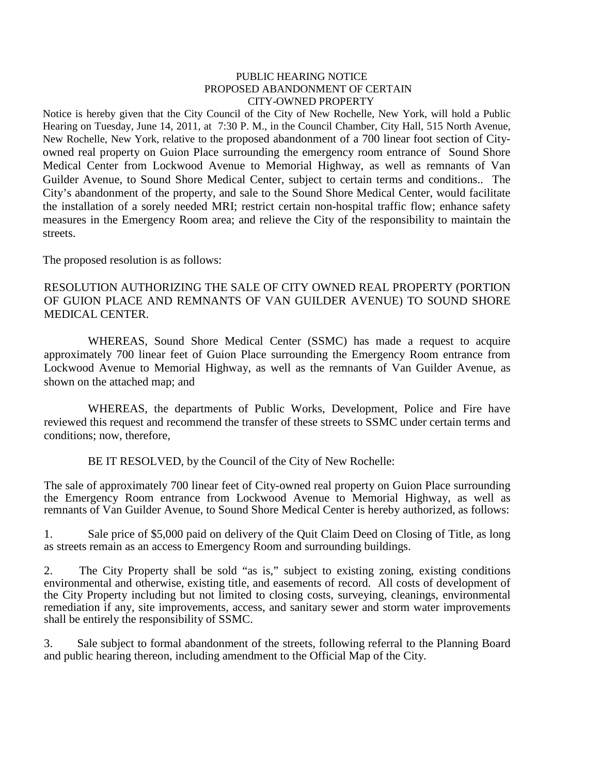## PUBLIC HEARING NOTICE PROPOSED ABANDONMENT OF CERTAIN CITY-OWNED PROPERTY

Notice is hereby given that the City Council of the City of New Rochelle, New York, will hold a Public Hearing on Tuesday, June 14, 2011, at 7:30 P. M., in the Council Chamber, City Hall, 515 North Avenue, New Rochelle, New York, relative to the proposed abandonment of a 700 linear foot section of Cityowned real property on Guion Place surrounding the emergency room entrance of Sound Shore Medical Center from Lockwood Avenue to Memorial Highway, as well as remnants of Van Guilder Avenue, to Sound Shore Medical Center, subject to certain terms and conditions.. The City's abandonment of the property, and sale to the Sound Shore Medical Center, would facilitate the installation of a sorely needed MRI; restrict certain non-hospital traffic flow; enhance safety measures in the Emergency Room area; and relieve the City of the responsibility to maintain the streets.

The proposed resolution is as follows:

## RESOLUTION AUTHORIZING THE SALE OF CITY OWNED REAL PROPERTY (PORTION OF GUION PLACE AND REMNANTS OF VAN GUILDER AVENUE) TO SOUND SHORE MEDICAL CENTER.

WHEREAS, Sound Shore Medical Center (SSMC) has made a request to acquire approximately 700 linear feet of Guion Place surrounding the Emergency Room entrance from Lockwood Avenue to Memorial Highway, as well as the remnants of Van Guilder Avenue, as shown on the attached map; and

WHEREAS, the departments of Public Works, Development, Police and Fire have reviewed this request and recommend the transfer of these streets to SSMC under certain terms and conditions; now, therefore,

BE IT RESOLVED, by the Council of the City of New Rochelle:

The sale of approximately 700 linear feet of City-owned real property on Guion Place surrounding the Emergency Room entrance from Lockwood Avenue to Memorial Highway, as well as remnants of Van Guilder Avenue, to Sound Shore Medical Center is hereby authorized, as follows:

1. Sale price of \$5,000 paid on delivery of the Quit Claim Deed on Closing of Title, as long as streets remain as an access to Emergency Room and surrounding buildings.

2. The City Property shall be sold "as is," subject to existing zoning, existing conditions environmental and otherwise, existing title, and easements of record. All costs of development of the City Property including but not limited to closing costs, surveying, cleanings, environmental remediation if any, site improvements, access, and sanitary sewer and storm water improvements shall be entirely the responsibility of SSMC.

3. Sale subject to formal abandonment of the streets, following referral to the Planning Board and public hearing thereon, including amendment to the Official Map of the City.